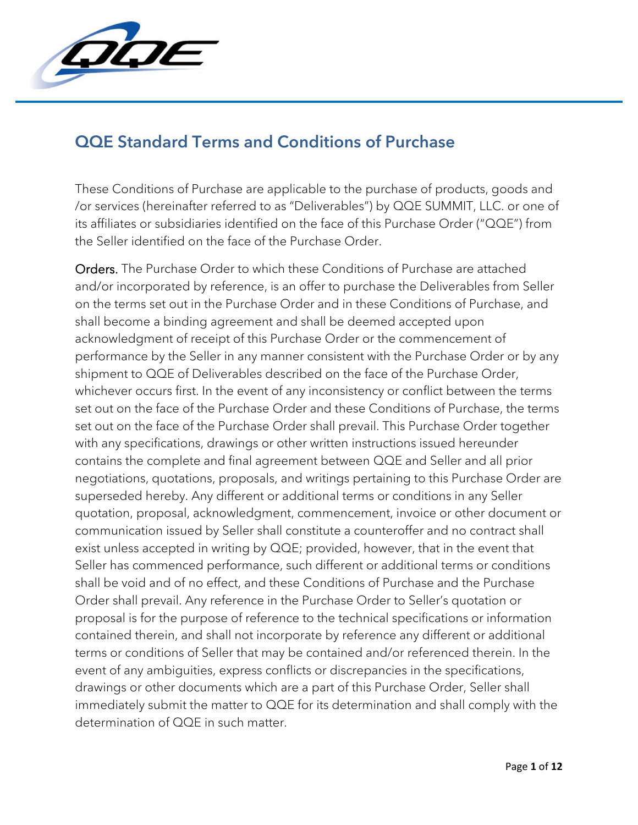

## QQE Standard Terms and Conditions of Purchase

These Conditions of Purchase are applicable to the purchase of products, goods and /or services (hereinafter referred to as "Deliverables") by QQE SUMMIT, LLC. or one of its affiliates or subsidiaries identified on the face of this Purchase Order ("QQE") from the Seller identified on the face of the Purchase Order.

Orders. The Purchase Order to which these Conditions of Purchase are attached and/or incorporated by reference, is an offer to purchase the Deliverables from Seller on the terms set out in the Purchase Order and in these Conditions of Purchase, and shall become a binding agreement and shall be deemed accepted upon acknowledgment of receipt of this Purchase Order or the commencement of performance by the Seller in any manner consistent with the Purchase Order or by any shipment to QQE of Deliverables described on the face of the Purchase Order, whichever occurs first. In the event of any inconsistency or conflict between the terms set out on the face of the Purchase Order and these Conditions of Purchase, the terms set out on the face of the Purchase Order shall prevail. This Purchase Order together with any specifications, drawings or other written instructions issued hereunder contains the complete and final agreement between QQE and Seller and all prior negotiations, quotations, proposals, and writings pertaining to this Purchase Order are superseded hereby. Any different or additional terms or conditions in any Seller quotation, proposal, acknowledgment, commencement, invoice or other document or communication issued by Seller shall constitute a counteroffer and no contract shall exist unless accepted in writing by QQE; provided, however, that in the event that Seller has commenced performance, such different or additional terms or conditions shall be void and of no effect, and these Conditions of Purchase and the Purchase Order shall prevail. Any reference in the Purchase Order to Seller's quotation or proposal is for the purpose of reference to the technical specifications or information contained therein, and shall not incorporate by reference any different or additional terms or conditions of Seller that may be contained and/or referenced therein. In the event of any ambiguities, express conflicts or discrepancies in the specifications, drawings or other documents which are a part of this Purchase Order, Seller shall immediately submit the matter to QQE for its determination and shall comply with the determination of QQE in such matter.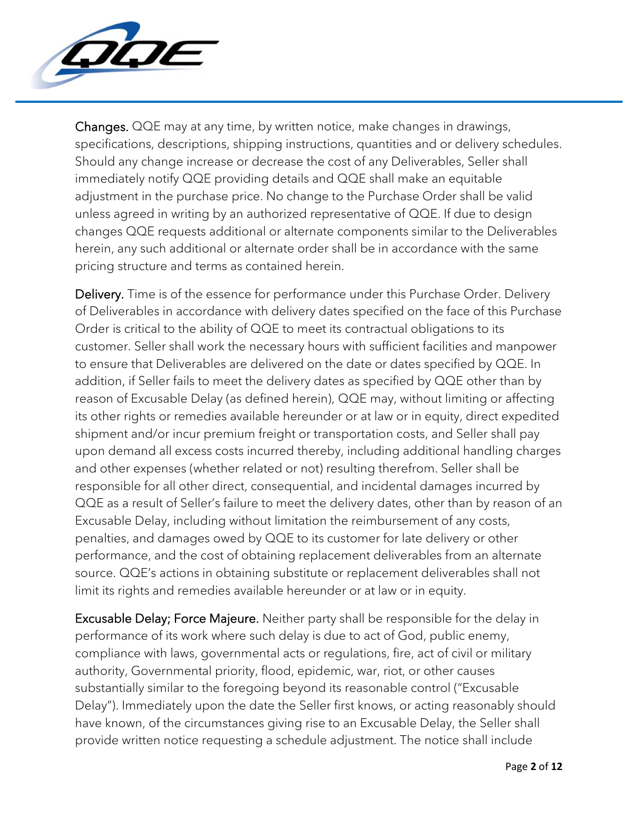

Changes. QQE may at any time, by written notice, make changes in drawings, specifications, descriptions, shipping instructions, quantities and or delivery schedules. Should any change increase or decrease the cost of any Deliverables, Seller shall immediately notify QQE providing details and QQE shall make an equitable adjustment in the purchase price. No change to the Purchase Order shall be valid unless agreed in writing by an authorized representative of QQE. If due to design changes QQE requests additional or alternate components similar to the Deliverables herein, any such additional or alternate order shall be in accordance with the same pricing structure and terms as contained herein.

Delivery. Time is of the essence for performance under this Purchase Order. Delivery of Deliverables in accordance with delivery dates specified on the face of this Purchase Order is critical to the ability of QQE to meet its contractual obligations to its customer. Seller shall work the necessary hours with sufficient facilities and manpower to ensure that Deliverables are delivered on the date or dates specified by QQE. In addition, if Seller fails to meet the delivery dates as specified by QQE other than by reason of Excusable Delay (as defined herein), QQE may, without limiting or affecting its other rights or remedies available hereunder or at law or in equity, direct expedited shipment and/or incur premium freight or transportation costs, and Seller shall pay upon demand all excess costs incurred thereby, including additional handling charges and other expenses (whether related or not) resulting therefrom. Seller shall be responsible for all other direct, consequential, and incidental damages incurred by QQE as a result of Seller's failure to meet the delivery dates, other than by reason of an Excusable Delay, including without limitation the reimbursement of any costs, penalties, and damages owed by QQE to its customer for late delivery or other performance, and the cost of obtaining replacement deliverables from an alternate source. QQE's actions in obtaining substitute or replacement deliverables shall not limit its rights and remedies available hereunder or at law or in equity.

Excusable Delay; Force Majeure. Neither party shall be responsible for the delay in performance of its work where such delay is due to act of God, public enemy, compliance with laws, governmental acts or regulations, fire, act of civil or military authority, Governmental priority, flood, epidemic, war, riot, or other causes substantially similar to the foregoing beyond its reasonable control ("Excusable Delay"). Immediately upon the date the Seller first knows, or acting reasonably should have known, of the circumstances giving rise to an Excusable Delay, the Seller shall provide written notice requesting a schedule adjustment. The notice shall include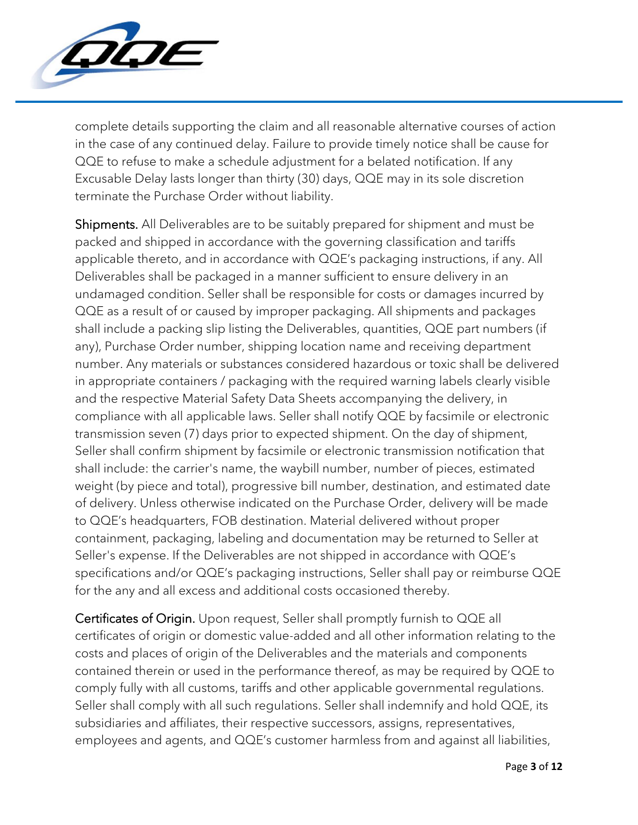

complete details supporting the claim and all reasonable alternative courses of action in the case of any continued delay. Failure to provide timely notice shall be cause for QQE to refuse to make a schedule adjustment for a belated notification. If any Excusable Delay lasts longer than thirty (30) days, QQE may in its sole discretion terminate the Purchase Order without liability.

Shipments. All Deliverables are to be suitably prepared for shipment and must be packed and shipped in accordance with the governing classification and tariffs applicable thereto, and in accordance with QQE's packaging instructions, if any. All Deliverables shall be packaged in a manner sufficient to ensure delivery in an undamaged condition. Seller shall be responsible for costs or damages incurred by QQE as a result of or caused by improper packaging. All shipments and packages shall include a packing slip listing the Deliverables, quantities, QQE part numbers (if any), Purchase Order number, shipping location name and receiving department number. Any materials or substances considered hazardous or toxic shall be delivered in appropriate containers / packaging with the required warning labels clearly visible and the respective Material Safety Data Sheets accompanying the delivery, in compliance with all applicable laws. Seller shall notify QQE by facsimile or electronic transmission seven (7) days prior to expected shipment. On the day of shipment, Seller shall confirm shipment by facsimile or electronic transmission notification that shall include: the carrier's name, the waybill number, number of pieces, estimated weight (by piece and total), progressive bill number, destination, and estimated date of delivery. Unless otherwise indicated on the Purchase Order, delivery will be made to QQE's headquarters, FOB destination. Material delivered without proper containment, packaging, labeling and documentation may be returned to Seller at Seller's expense. If the Deliverables are not shipped in accordance with QQE's specifications and/or QQE's packaging instructions, Seller shall pay or reimburse QQE for the any and all excess and additional costs occasioned thereby.

Certificates of Origin. Upon request, Seller shall promptly furnish to QQE all certificates of origin or domestic value-added and all other information relating to the costs and places of origin of the Deliverables and the materials and components contained therein or used in the performance thereof, as may be required by QQE to comply fully with all customs, tariffs and other applicable governmental regulations. Seller shall comply with all such regulations. Seller shall indemnify and hold QQE, its subsidiaries and affiliates, their respective successors, assigns, representatives, employees and agents, and QQE's customer harmless from and against all liabilities,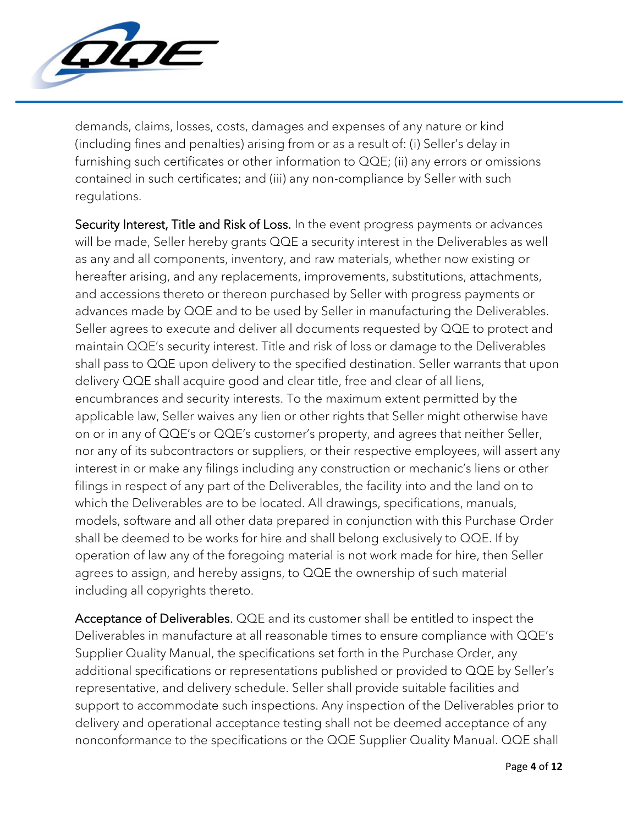

demands, claims, losses, costs, damages and expenses of any nature or kind (including fines and penalties) arising from or as a result of: (i) Seller's delay in furnishing such certificates or other information to QQE; (ii) any errors or omissions contained in such certificates; and (iii) any non-compliance by Seller with such regulations.

Security Interest, Title and Risk of Loss. In the event progress payments or advances will be made, Seller hereby grants QQE a security interest in the Deliverables as well as any and all components, inventory, and raw materials, whether now existing or hereafter arising, and any replacements, improvements, substitutions, attachments, and accessions thereto or thereon purchased by Seller with progress payments or advances made by QQE and to be used by Seller in manufacturing the Deliverables. Seller agrees to execute and deliver all documents requested by QQE to protect and maintain QQE's security interest. Title and risk of loss or damage to the Deliverables shall pass to QQE upon delivery to the specified destination. Seller warrants that upon delivery QQE shall acquire good and clear title, free and clear of all liens, encumbrances and security interests. To the maximum extent permitted by the applicable law, Seller waives any lien or other rights that Seller might otherwise have on or in any of QQE's or QQE's customer's property, and agrees that neither Seller, nor any of its subcontractors or suppliers, or their respective employees, will assert any interest in or make any filings including any construction or mechanic's liens or other filings in respect of any part of the Deliverables, the facility into and the land on to which the Deliverables are to be located. All drawings, specifications, manuals, models, software and all other data prepared in conjunction with this Purchase Order shall be deemed to be works for hire and shall belong exclusively to QQE. If by operation of law any of the foregoing material is not work made for hire, then Seller agrees to assign, and hereby assigns, to QQE the ownership of such material including all copyrights thereto.

Acceptance of Deliverables. QQE and its customer shall be entitled to inspect the Deliverables in manufacture at all reasonable times to ensure compliance with QQE's Supplier Quality Manual, the specifications set forth in the Purchase Order, any additional specifications or representations published or provided to QQE by Seller's representative, and delivery schedule. Seller shall provide suitable facilities and support to accommodate such inspections. Any inspection of the Deliverables prior to delivery and operational acceptance testing shall not be deemed acceptance of any nonconformance to the specifications or the QQE Supplier Quality Manual. QQE shall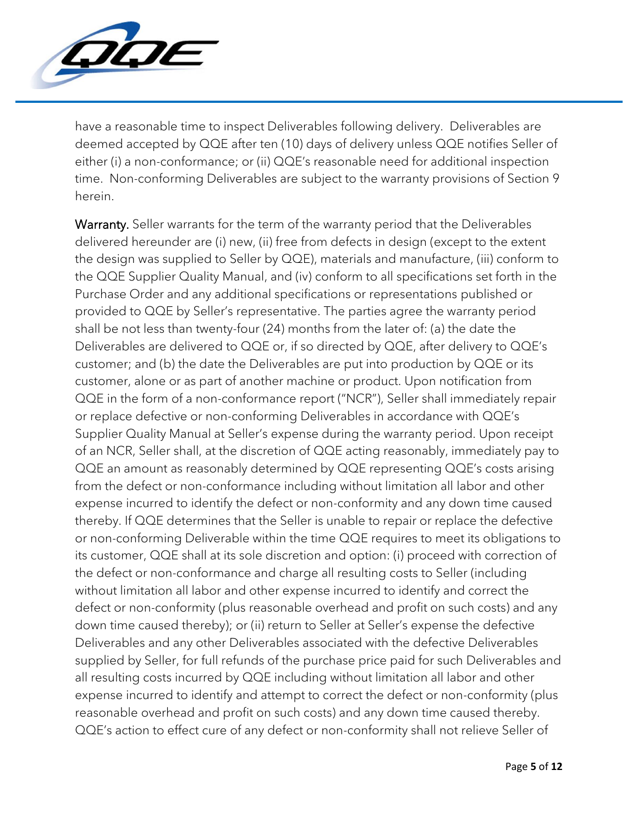

have a reasonable time to inspect Deliverables following delivery. Deliverables are deemed accepted by QQE after ten (10) days of delivery unless QQE notifies Seller of either (i) a non-conformance; or (ii) QQE's reasonable need for additional inspection time. Non-conforming Deliverables are subject to the warranty provisions of Section 9 herein.

Warranty. Seller warrants for the term of the warranty period that the Deliverables delivered hereunder are (i) new, (ii) free from defects in design (except to the extent the design was supplied to Seller by QQE), materials and manufacture, (iii) conform to the QQE Supplier Quality Manual, and (iv) conform to all specifications set forth in the Purchase Order and any additional specifications or representations published or provided to QQE by Seller's representative. The parties agree the warranty period shall be not less than twenty-four (24) months from the later of: (a) the date the Deliverables are delivered to QQE or, if so directed by QQE, after delivery to QQE's customer; and (b) the date the Deliverables are put into production by QQE or its customer, alone or as part of another machine or product. Upon notification from QQE in the form of a non-conformance report ("NCR"), Seller shall immediately repair or replace defective or non-conforming Deliverables in accordance with QQE's Supplier Quality Manual at Seller's expense during the warranty period. Upon receipt of an NCR, Seller shall, at the discretion of QQE acting reasonably, immediately pay to QQE an amount as reasonably determined by QQE representing QQE's costs arising from the defect or non-conformance including without limitation all labor and other expense incurred to identify the defect or non-conformity and any down time caused thereby. If QQE determines that the Seller is unable to repair or replace the defective or non-conforming Deliverable within the time QQE requires to meet its obligations to its customer, QQE shall at its sole discretion and option: (i) proceed with correction of the defect or non-conformance and charge all resulting costs to Seller (including without limitation all labor and other expense incurred to identify and correct the defect or non-conformity (plus reasonable overhead and profit on such costs) and any down time caused thereby); or (ii) return to Seller at Seller's expense the defective Deliverables and any other Deliverables associated with the defective Deliverables supplied by Seller, for full refunds of the purchase price paid for such Deliverables and all resulting costs incurred by QQE including without limitation all labor and other expense incurred to identify and attempt to correct the defect or non-conformity (plus reasonable overhead and profit on such costs) and any down time caused thereby. QQE's action to effect cure of any defect or non-conformity shall not relieve Seller of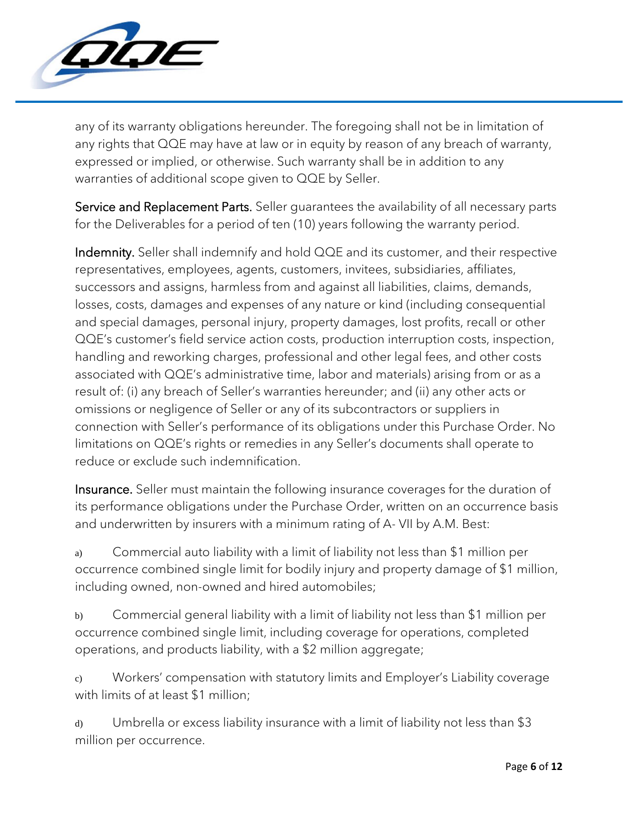

any of its warranty obligations hereunder. The foregoing shall not be in limitation of any rights that QQE may have at law or in equity by reason of any breach of warranty, expressed or implied, or otherwise. Such warranty shall be in addition to any warranties of additional scope given to QQE by Seller.

Service and Replacement Parts. Seller guarantees the availability of all necessary parts for the Deliverables for a period of ten (10) years following the warranty period.

Indemnity. Seller shall indemnify and hold QQE and its customer, and their respective representatives, employees, agents, customers, invitees, subsidiaries, affiliates, successors and assigns, harmless from and against all liabilities, claims, demands, losses, costs, damages and expenses of any nature or kind (including consequential and special damages, personal injury, property damages, lost profits, recall or other QQE's customer's field service action costs, production interruption costs, inspection, handling and reworking charges, professional and other legal fees, and other costs associated with QQE's administrative time, labor and materials) arising from or as a result of: (i) any breach of Seller's warranties hereunder; and (ii) any other acts or omissions or negligence of Seller or any of its subcontractors or suppliers in connection with Seller's performance of its obligations under this Purchase Order. No limitations on QQE's rights or remedies in any Seller's documents shall operate to reduce or exclude such indemnification.

Insurance. Seller must maintain the following insurance coverages for the duration of its performance obligations under the Purchase Order, written on an occurrence basis and underwritten by insurers with a minimum rating of A- VII by A.M. Best:

a) Commercial auto liability with a limit of liability not less than \$1 million per occurrence combined single limit for bodily injury and property damage of \$1 million, including owned, non-owned and hired automobiles;

b) Commercial general liability with a limit of liability not less than \$1 million per occurrence combined single limit, including coverage for operations, completed operations, and products liability, with a \$2 million aggregate;

c) Workers' compensation with statutory limits and Employer's Liability coverage with limits of at least \$1 million;

d) Umbrella or excess liability insurance with a limit of liability not less than \$3 million per occurrence.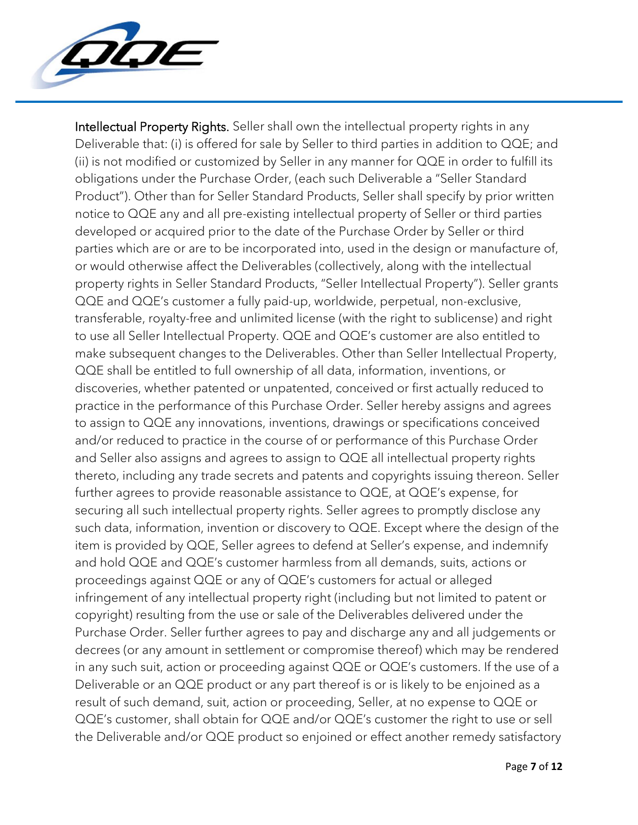

Intellectual Property Rights. Seller shall own the intellectual property rights in any Deliverable that: (i) is offered for sale by Seller to third parties in addition to QQE; and (ii) is not modified or customized by Seller in any manner for QQE in order to fulfill its obligations under the Purchase Order, (each such Deliverable a "Seller Standard Product"). Other than for Seller Standard Products, Seller shall specify by prior written notice to QQE any and all pre-existing intellectual property of Seller or third parties developed or acquired prior to the date of the Purchase Order by Seller or third parties which are or are to be incorporated into, used in the design or manufacture of, or would otherwise affect the Deliverables (collectively, along with the intellectual property rights in Seller Standard Products, "Seller Intellectual Property"). Seller grants QQE and QQE's customer a fully paid-up, worldwide, perpetual, non-exclusive, transferable, royalty-free and unlimited license (with the right to sublicense) and right to use all Seller Intellectual Property. QQE and QQE's customer are also entitled to make subsequent changes to the Deliverables. Other than Seller Intellectual Property, QQE shall be entitled to full ownership of all data, information, inventions, or discoveries, whether patented or unpatented, conceived or first actually reduced to practice in the performance of this Purchase Order. Seller hereby assigns and agrees to assign to QQE any innovations, inventions, drawings or specifications conceived and/or reduced to practice in the course of or performance of this Purchase Order and Seller also assigns and agrees to assign to QQE all intellectual property rights thereto, including any trade secrets and patents and copyrights issuing thereon. Seller further agrees to provide reasonable assistance to QQE, at QQE's expense, for securing all such intellectual property rights. Seller agrees to promptly disclose any such data, information, invention or discovery to QQE. Except where the design of the item is provided by QQE, Seller agrees to defend at Seller's expense, and indemnify and hold QQE and QQE's customer harmless from all demands, suits, actions or proceedings against QQE or any of QQE's customers for actual or alleged infringement of any intellectual property right (including but not limited to patent or copyright) resulting from the use or sale of the Deliverables delivered under the Purchase Order. Seller further agrees to pay and discharge any and all judgements or decrees (or any amount in settlement or compromise thereof) which may be rendered in any such suit, action or proceeding against QQE or QQE's customers. If the use of a Deliverable or an QQE product or any part thereof is or is likely to be enjoined as a result of such demand, suit, action or proceeding, Seller, at no expense to QQE or QQE's customer, shall obtain for QQE and/or QQE's customer the right to use or sell the Deliverable and/or QQE product so enjoined or effect another remedy satisfactory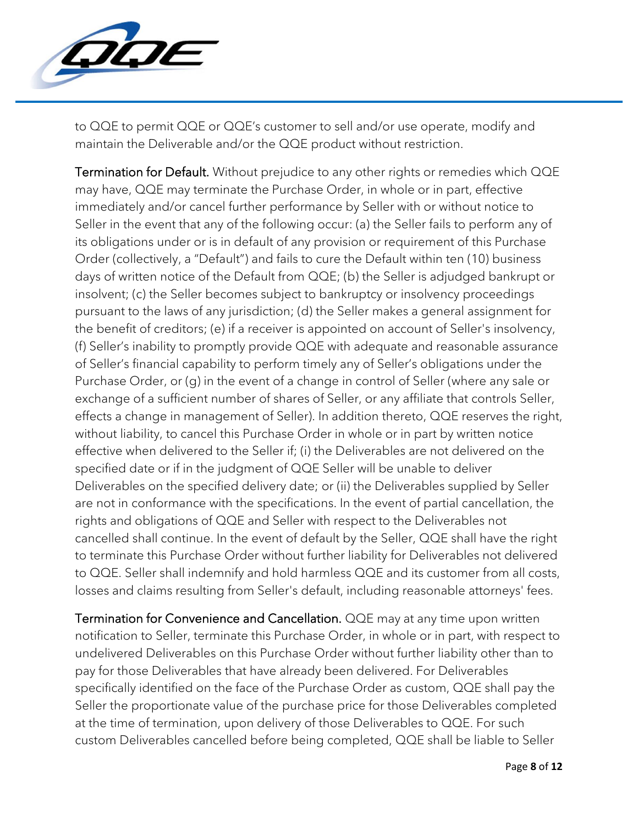

to QQE to permit QQE or QQE's customer to sell and/or use operate, modify and maintain the Deliverable and/or the QQE product without restriction.

Termination for Default. Without prejudice to any other rights or remedies which QQE may have, QQE may terminate the Purchase Order, in whole or in part, effective immediately and/or cancel further performance by Seller with or without notice to Seller in the event that any of the following occur: (a) the Seller fails to perform any of its obligations under or is in default of any provision or requirement of this Purchase Order (collectively, a "Default") and fails to cure the Default within ten (10) business days of written notice of the Default from QQE; (b) the Seller is adjudged bankrupt or insolvent; (c) the Seller becomes subject to bankruptcy or insolvency proceedings pursuant to the laws of any jurisdiction; (d) the Seller makes a general assignment for the benefit of creditors; (e) if a receiver is appointed on account of Seller's insolvency, (f) Seller's inability to promptly provide QQE with adequate and reasonable assurance of Seller's financial capability to perform timely any of Seller's obligations under the Purchase Order, or (g) in the event of a change in control of Seller (where any sale or exchange of a sufficient number of shares of Seller, or any affiliate that controls Seller, effects a change in management of Seller). In addition thereto, QQE reserves the right, without liability, to cancel this Purchase Order in whole or in part by written notice effective when delivered to the Seller if; (i) the Deliverables are not delivered on the specified date or if in the judgment of QQE Seller will be unable to deliver Deliverables on the specified delivery date; or (ii) the Deliverables supplied by Seller are not in conformance with the specifications. In the event of partial cancellation, the rights and obligations of QQE and Seller with respect to the Deliverables not cancelled shall continue. In the event of default by the Seller, QQE shall have the right to terminate this Purchase Order without further liability for Deliverables not delivered to QQE. Seller shall indemnify and hold harmless QQE and its customer from all costs, losses and claims resulting from Seller's default, including reasonable attorneys' fees.

Termination for Convenience and Cancellation. QQE may at any time upon written notification to Seller, terminate this Purchase Order, in whole or in part, with respect to undelivered Deliverables on this Purchase Order without further liability other than to pay for those Deliverables that have already been delivered. For Deliverables specifically identified on the face of the Purchase Order as custom, QQE shall pay the Seller the proportionate value of the purchase price for those Deliverables completed at the time of termination, upon delivery of those Deliverables to QQE. For such custom Deliverables cancelled before being completed, QQE shall be liable to Seller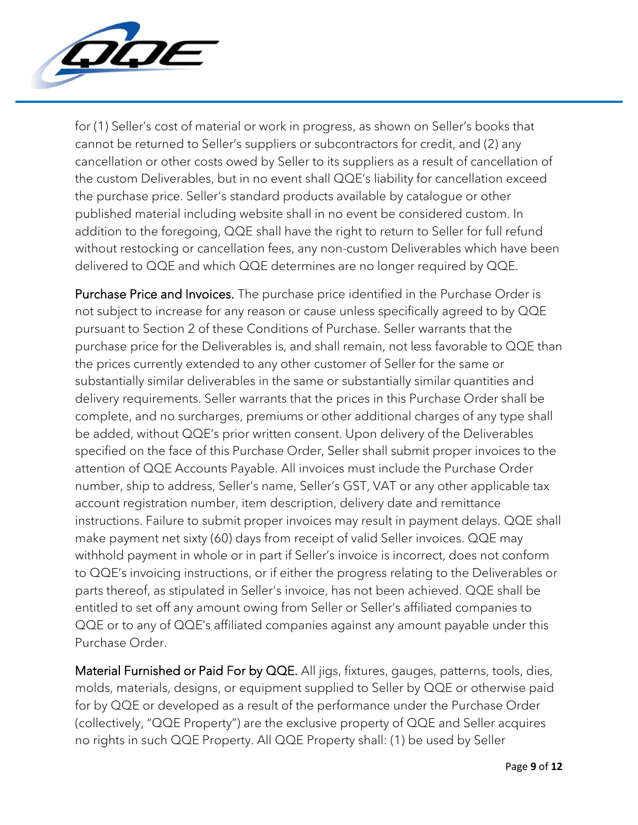

for (1) Seller's cost of material or work in progress, as shown on Seller's books that cannot be returned to Seller's suppliers or subcontractors for credit, and (2) any cancellation or other costs owed by Seller to its suppliers as a result of cancellation of the custom Deliverables, but in no event shall QQE's liability for cancellation exceed the purchase price. Seller's standard products available by catalogue or other published material including website shall in no event be considered custom. In addition to the foregoing, QQE shall have the right to return to Seller for full refund without restocking or cancellation fees, any non-custom Deliverables which have been delivered to QQE and which QQE determines are no longer required by QQE.

Purchase Price and Invoices. The purchase price identified in the Purchase Order is not subject to increase for any reason or cause unless specifically agreed to by QQE pursuant to Section 2 of these Conditions of Purchase. Seller warrants that the purchase price for the Deliverables is, and shall remain, not less favorable to QQE than the prices currently extended to any other customer of Seller for the same or substantially similar deliverables in the same or substantially similar quantities and delivery requirements. Seller warrants that the prices in this Purchase Order shall be complete, and no surcharges, premiums or other additional charges of any type shall be added, without QQE's prior written consent. Upon delivery of the Deliverables specified on the face of this Purchase Order, Seller shall submit proper invoices to the attention of QQE Accounts Payable. All invoices must include the Purchase Order number, ship to address, Seller's name, Seller's GST, VAT or any other applicable tax account registration number, item description, delivery date and remittance instructions. Failure to submit proper invoices may result in payment delays. QQE shall make payment net sixty (60) days from receipt of valid Seller invoices. QQE may withhold payment in whole or in part if Seller's invoice is incorrect, does not conform to QQE's invoicing instructions, or if either the progress relating to the Deliverables or parts thereof, as stipulated in Seller's invoice, has not been achieved. QQE shall be entitled to set off any amount owing from Seller or Seller's affiliated companies to QQE or to any of QQE's affiliated companies against any amount payable under this Purchase Order.

Material Furnished or Paid For by QQE. All jigs, fixtures, gauges, patterns, tools, dies, molds, materials, designs, or equipment supplied to Seller by QQE or otherwise paid for by QQE or developed as a result of the performance under the Purchase Order (collectively, "QQE Property") are the exclusive property of QQE and Seller acquires no rights in such QQE Property. All QQE Property shall: (1) be used by Seller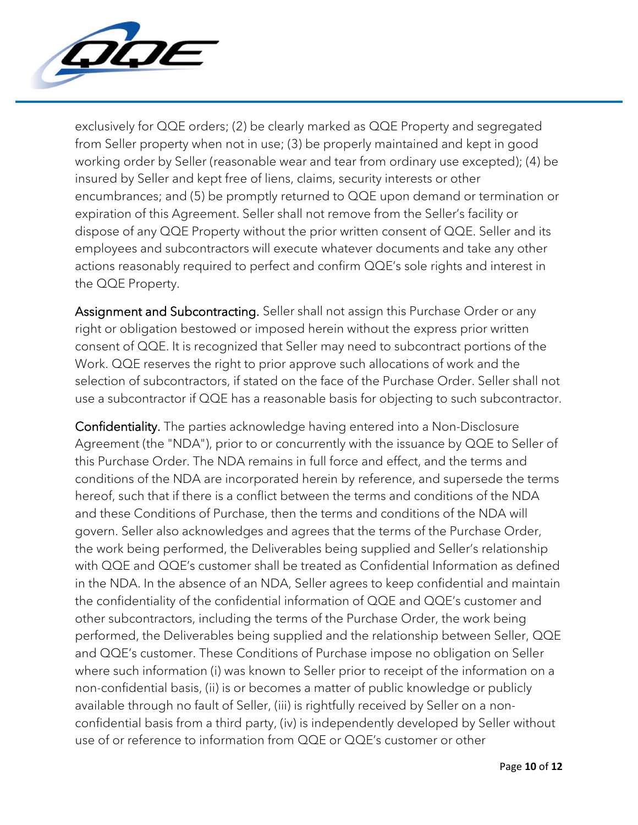

exclusively for QQE orders; (2) be clearly marked as QQE Property and segregated from Seller property when not in use; (3) be properly maintained and kept in good working order by Seller (reasonable wear and tear from ordinary use excepted); (4) be insured by Seller and kept free of liens, claims, security interests or other encumbrances; and (5) be promptly returned to QQE upon demand or termination or expiration of this Agreement. Seller shall not remove from the Seller's facility or dispose of any QQE Property without the prior written consent of QQE. Seller and its employees and subcontractors will execute whatever documents and take any other actions reasonably required to perfect and confirm QQE's sole rights and interest in the QQE Property.

Assignment and Subcontracting. Seller shall not assign this Purchase Order or any right or obligation bestowed or imposed herein without the express prior written consent of QQE. It is recognized that Seller may need to subcontract portions of the Work. QQE reserves the right to prior approve such allocations of work and the selection of subcontractors, if stated on the face of the Purchase Order. Seller shall not use a subcontractor if QQE has a reasonable basis for objecting to such subcontractor.

Confidentiality. The parties acknowledge having entered into a Non-Disclosure Agreement (the "NDA"), prior to or concurrently with the issuance by QQE to Seller of this Purchase Order. The NDA remains in full force and effect, and the terms and conditions of the NDA are incorporated herein by reference, and supersede the terms hereof, such that if there is a conflict between the terms and conditions of the NDA and these Conditions of Purchase, then the terms and conditions of the NDA will govern. Seller also acknowledges and agrees that the terms of the Purchase Order, the work being performed, the Deliverables being supplied and Seller's relationship with QQE and QQE's customer shall be treated as Confidential Information as defined in the NDA. In the absence of an NDA, Seller agrees to keep confidential and maintain the confidentiality of the confidential information of QQE and QQE's customer and other subcontractors, including the terms of the Purchase Order, the work being performed, the Deliverables being supplied and the relationship between Seller, QQE and QQE's customer. These Conditions of Purchase impose no obligation on Seller where such information (i) was known to Seller prior to receipt of the information on a non-confidential basis, (ii) is or becomes a matter of public knowledge or publicly available through no fault of Seller, (iii) is rightfully received by Seller on a nonconfidential basis from a third party, (iv) is independently developed by Seller without use of or reference to information from QQE or QQE's customer or other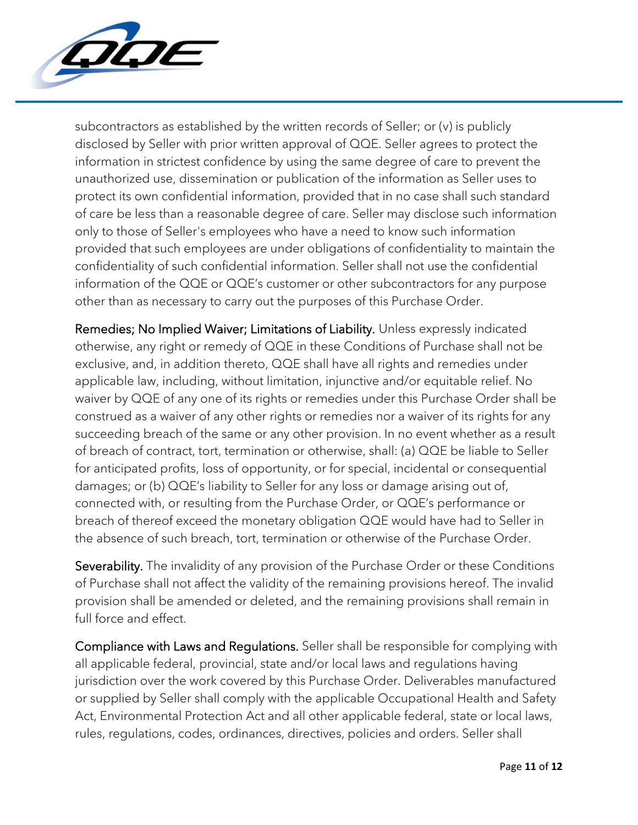

subcontractors as established by the written records of Seller; or (v) is publicly disclosed by Seller with prior written approval of QQE. Seller agrees to protect the information in strictest confidence by using the same degree of care to prevent the unauthorized use, dissemination or publication of the information as Seller uses to protect its own confidential information, provided that in no case shall such standard of care be less than a reasonable degree of care. Seller may disclose such information only to those of Seller's employees who have a need to know such information provided that such employees are under obligations of confidentiality to maintain the confidentiality of such confidential information. Seller shall not use the confidential information of the QQE or QQE's customer or other subcontractors for any purpose other than as necessary to carry out the purposes of this Purchase Order.

Remedies; No Implied Waiver; Limitations of Liability. Unless expressly indicated otherwise, any right or remedy of QQE in these Conditions of Purchase shall not be exclusive, and, in addition thereto, QQE shall have all rights and remedies under applicable law, including, without limitation, injunctive and/or equitable relief. No waiver by QQE of any one of its rights or remedies under this Purchase Order shall be construed as a waiver of any other rights or remedies nor a waiver of its rights for any succeeding breach of the same or any other provision. In no event whether as a result of breach of contract, tort, termination or otherwise, shall: (a) QQE be liable to Seller for anticipated profits, loss of opportunity, or for special, incidental or consequential damages; or (b) QQE's liability to Seller for any loss or damage arising out of, connected with, or resulting from the Purchase Order, or QQE's performance or breach of thereof exceed the monetary obligation QQE would have had to Seller in the absence of such breach, tort, termination or otherwise of the Purchase Order.

Severability. The invalidity of any provision of the Purchase Order or these Conditions of Purchase shall not affect the validity of the remaining provisions hereof. The invalid provision shall be amended or deleted, and the remaining provisions shall remain in full force and effect.

Compliance with Laws and Regulations. Seller shall be responsible for complying with all applicable federal, provincial, state and/or local laws and regulations having jurisdiction over the work covered by this Purchase Order. Deliverables manufactured or supplied by Seller shall comply with the applicable Occupational Health and Safety Act, Environmental Protection Act and all other applicable federal, state or local laws, rules, regulations, codes, ordinances, directives, policies and orders. Seller shall